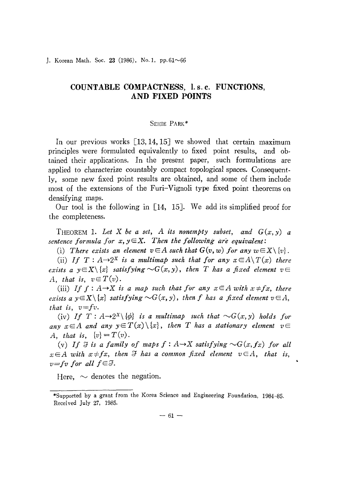1. Korean Math. Soc. 23 (1986), No. 1, pp.  $61~\sim~66$ 

## **COUNTABLE COMPACTNESS, l. s. c. FUNCTIONS, AND FIXED POINTS**

## SEHIE PARK\*

In our previous works  $\lceil 13, 14, 15 \rceil$  we showed that certain maximum principles were formulated equivalently to fixed point results, and ob· tained their applications. In the present paper, such formulations are applied to characterize countably compact topological spaces. Consequently, some new fixed point results are obtained, and some of them include most of the extensions of the Furi-Vignoli type fixed point theorems on densifying maps.

Our tool is the following in [14, 15]. We add its simplified proof for the completeness.

THEOREM 1. Let X be a set, A its nonempty subset, and  $G(x, y)$  a *sentence* formula for  $x, y \in X$ . Then the following are equivalent:

(i) There exists an element  $v \in A$  such that  $G(v, w)$  for any  $w \in X \setminus \{v\}$ .

(ii) *If*  $T: A \rightarrow 2^X$  *is a multimap such that for any*  $x \in A \setminus T(x)$  *there exists*  $a \ y \in X \setminus \{x\}$  satisfying  $\sim G(x, y)$ , then T has a fixed element  $v \in$ *A,* that is,  $v \in T(v)$ .

(iii) If  $f : A \rightarrow X$  *is a map such that for any*  $x \in A$  *with*  $x \neq fx$ , *there exists*  $a \ y \in X \setminus \{x\}$  *satisfying*  $\sim G(x, y)$ , then *f* has a fixed element  $v \in A$ , *that is, v=fv.*

(iv) *If*  $T : A \rightarrow 2^X \setminus \{ \phi \}$  *is a multimap such that*  $\sim G(x, y)$  *holds for any*  $x \in A$  *and any*  $y \in T(x) \setminus \{x\}$ , then *T* has a stationary element  $v \in$ *A, that is,*  $\{v\} = T(v)$ .

(v) If  $\Im$  *is a family of maps*  $f: A \rightarrow X$  *satisfying*  $\sim G(x, fx)$  *for all*  $x \in A$  with  $x \neq fx$ , then  $\Im$  has a common fixed element  $v \in A$ , that *is*,  $v = fv$  *for all*  $f \in \mathcal{F}$ .

Here,  $\sim$  denotes the negation.

<sup>\*</sup>Supported by a grant from the Korea Science and Engineering Foundation, 1984-85. Received July 27, 1985.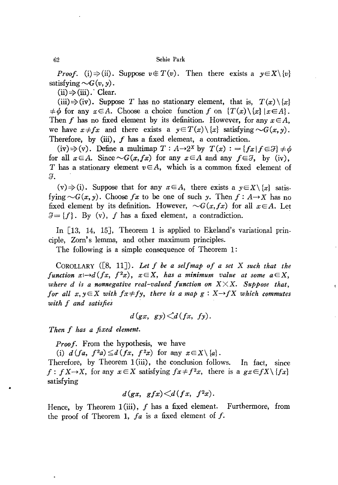*Proof.* (i)  $\Rightarrow$  (ii). Suppose  $v \notin T(v)$ . Then there exists a  $y \in X \setminus \{v\}$ satisfying  $\sim G(v, y)$ .

 $(ii) \Rightarrow (iii).$  Clear.

(iii)  $\Rightarrow$  (iv). Suppose *T* has no stationary element, that is,  $T(x) \setminus \{x\}$  $\neq \phi$  for any  $x \in A$ . Choose a choice function *f* on  $\{T(x) \setminus \{x\} \mid x \in A\}.$ Then *f* has no fixed element by its definition. However, for any  $x \in A$ , we have  $x \neq fx$  and there exists a  $y \in T(x) \setminus \{x\}$  satisfying  $\sim G(x, y)$ . Therefore, by (iii),  $f$  has a fixed element, a contradiction.

(iv)  $\Rightarrow$  (v). Define a multimap  $T : A \rightarrow 2^X$  by  $T(x) := {f x | f \in \mathcal{F}} \neq \emptyset$ for all  $x \in A$ . Since  $\sim G(x, fx)$  for any  $x \in A$  and any  $f \in \mathcal{F}$ , by (iv), T has a stationary element  $v \in A$ , which is a common fixed element of a.

 $(v) \Rightarrow (i)$ . Suppose that for any  $x \in A$ , there exists a  $y \in X \setminus \{x\}$  satisfying  $\sim G(x, y)$ . Choose fx to be one of such y. Then  $f : A \rightarrow X$  has no fixed element by its definition. However,  $\sim G(x,fx)$  for all  $x \in A$ . Let  $\mathcal{J} = \{f\}$ . By (v), f has a fixed element, a contradiction.

In  $\lceil 13, 14, 15 \rceil$ , Theorem 1 is applied to Ekeland's variational principle, Zom's lemma, and other maximum principles.

The following is a simple consequence of Theorem 1:

COROLLARY ([8, 11J). *Let I be a sellmap 01 a set* X *such that the function*  $x \mapsto d(fx, f^2x)$ ,  $x \in X$ , has a minimum value at some  $a \in X$ , *where*  $d$  *is a nonnegative* real-valued function on  $X \times X$ . Suppose that, *for all*  $x, y \in X$  *with*  $f \cdot x \neq f \cdot y$ , there is a map  $g: X \rightarrow f X$  which commutes *with I and satisfies*

$$
d(gx, gy) \leq d(fx, fy).
$$

*Then I has a fi.Ted element.*

*Proof.* From the hypothesis, we have

(i)  $d(fa, f^2a) \leq d(fx, f^2x)$  for any  $x \in X \setminus \{a\}.$ 

Therefore, by Theorem  $1(iii)$ , the conclusion follows. In fact, since  $f: f X \rightarrow X$ , for any  $x \in X$  satisfying  $f x \neq f^2 x$ , there is a  $g x \in f X \setminus \{fx\}$ satisfying

$$
d(gx, gfx)
$$

Hence, by Theorem 1(iii),  $f$  has a fixed element. Furthermore, from the proof of Theorem 1, *la* is a fixed element of *j.*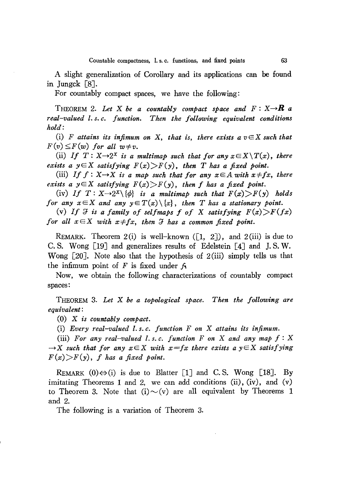A slight generalization of Corollary and its applications can be found in Jungck [8J.

For countably compact spaces, we have the following:

THEOREM 2. Let  $X$  be a countably compact space and  $F: X \rightarrow \mathbb{R}$  a *Then the following equivalent conditions real-valued l. s. c. function. hold:*

(i) *F* attains its infimum on X, that is, there exists  $a v \in X$  such that  $F(v) \leq F(w)$  *for all*  $w \neq v$ .

(ii) If  $T: X \rightarrow 2^X$  *is a multimap such that for any*  $x \in X \setminus T(x)$ , there *exists a*  $y \in X$  *satisfying*  $F(x) > F(y)$ , *then T has a fixed point.* 

(iii) *If*  $f: X \rightarrow X$  *is a map such that for any*  $x \in A$  *with*  $x \neq fx$ *, there exists a*  $y \in X$  *satisfying*  $F(x) > F(y)$ , *then f has a fixed point.* 

(iv) If  $T: X \rightarrow 2^X \setminus \{ \phi \}$  *is a multimap such that*  $F(x) > F(y)$  *holds for* any  $x \in X$  and any  $y \in T(x) \setminus \{x\}$ , then *T* has a stationary point.

(v) If  $\mathcal{F}$  is a family of selfmaps f of X satisfying  $F(x) > F(fx)$ *for all*  $x \in X$  *with*  $x \neq fx$ , *then*  $\Im$  *has a common fixed point.* 

REMARK. Theorem 2(i) is well-known ([1, 2]), and 2(iii) is due to C. S. Wong [19J and generalizes results of Edelstein [4J and J. S. W. Wong [20J. Note also that the hypothesis of 2(iii) simply tells us that the infimum point of F is fixed under  $f_1$ .

Now, we obtain the following characterizations of countably compact spaces:

THEOREM 3. *Let* X *be a topological space. Then the following are equivalent:*

(0) X *is countably compact.*

(i) *Every real-valued l. s. c. function F on* X *attains its infimum.*

(iii) *For any real-valued l. s. c. function F on* X *and any map f* : X  $\rightarrow$ X *such* that for any  $x \in X$  with  $x = fx$  there exists a  $y \in X$  satisfying  $F(x)$ *F(y)*, *f* has a fixed point.

REMARK  $(0) \Leftrightarrow$  (i) is due to Blatter [1] and C.S. Wong [18]. By imitating Theorems 1 and 2, we can add conditions (ii), (iv), and (v) to Theorem 3. Note that  $(i) \sim (v)$  are all equivalent by Theorems 1 and 2.

The following is a variation of Theorem 3.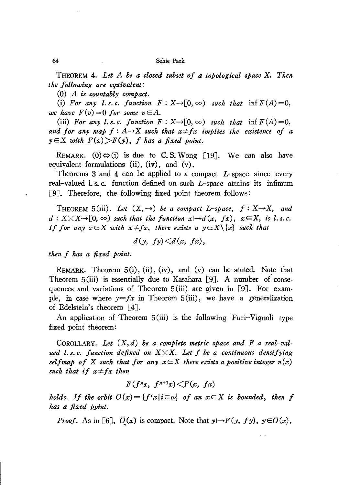THEOREM 4. *Let A be a closed subset of a topological space* X. *Then the following are equivalent:*

*(0) A is countably compact.*

(i) For any *l.s.c.* function  $F: X \rightarrow [0, \infty)$  such that  $\inf F(A) = 0$ , *we have*  $F(v) = 0$  *for some*  $v \in A$ .

(iii) *For* any *l.s.c. function*  $F: X \rightarrow [0, \infty)$  *such that* inf  $F(A) = 0$ , *and* for any map  $f: A \rightarrow X$  such that  $x \neq fx$  *implies* the *existence* of *a*  $y \in X$  *with*  $F(x) > F(y)$ , *f has a fixed point.* 

REMARK. (0) $\Leftrightarrow$  (i) is due to C.S. Wong [19]. We can also have equivalent formulations  $(ii)$ ,  $(iv)$ , and  $(v)$ .

Theorems 3 and 4 can be applied to a compact *L-space* since every real-valued 1. s. c. function defined on such *L-space* attains its infimum [9]. Therefore, the following fixed point theorem follows:

THEOREM 5(iii). Let  $(X, \rightarrow)$  be a compact L-space,  $f: X \rightarrow X$ , and  $d: X \times X \rightarrow [0, \infty)$  *such that the function*  $x \mapsto d(x, fx), x \in X$ , *is l.s.c. If* for any  $x \in X$  with  $x \neq fx$ , there exists a  $y \in X \setminus \{x\}$  such that

 $d(y, fy) \leq d(x, fx)$ ,

*then f has a fixed point.*

REMARK. Theorem  $5(i)$ ,  $(ii)$ ,  $(iv)$ , and  $(v)$  can be stated. Note that Theorem  $5(iii)$  is essentially due to Kasahara [9]. A number of consequences and variations of Theorem  $5(iii)$  are given in [9]. For example, in case where  $y=f x$  in Theorem 5(iii), we have a generalization of Edelstein's theorem [4J.

An application of Theorem 5(iii) is the following Furi-Vignoli type fixed point theorem:

COROLLARY. *Let (X, d) be a complete metric space and F a real-valued l. s. c. function defined on* XXX. *Let f be a continuous densifying selfmap* of X such that for any  $x \in X$  there exists a positive integer  $n(x)$ *such that if*  $x \neq fx$  *then* 

$$
F(f^{n}x, f^{n+1}x) \leq F(x, fx)
$$

*holds.* If the orbit  $O(x) = \{f^i x | i \in \omega\}$  of an  $x \in X$  is bounded, then f *has a fixed p.pint.*

*Proof.* As in [6],  $\overline{O}(x)$  is compact. Note that  $y \mapsto F(y, fy), y \in \overline{O}(x)$ ,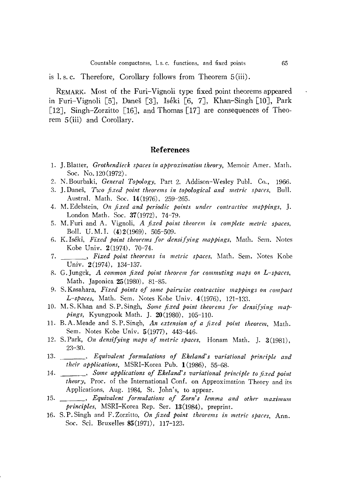is 1. s. c. Therefore, Corollary follows from Theorem 5 (iii).

REMARK. Most of the Furi-Vignoli type fixed point theorems appeared in Furi-Vignoli [5J, Danes [3J, Iseki [6, 7J, Khan-Singh [lOJ, Park [12], Singh-Zorzitto [16], and Thomas [17] are consequences of Theorem 5(iii) and Corollary.

## **References**

- 1. J. Blatter, *Grothendieck spaces in approximation theory,* Memoir Amer. Math. Soc. No. 120 (1972).
- 2. N. Bourbaki, *General Topology,* Part 2, Addison-Wesley Pub!. Co., 1966.
- 3. J. Danes, *Two fixed point theorems in topological and metric spaces,* Bul!. Austral. Math. Soc. 14(1976), 259-265.
- 4. M. Edelstein, *On fixed and periodic points under contractive mappings,* J. London Math. Soc. 37(1972), 74-79.
- 5. M. Furi and A. Vignoli, *A fixed point theorem in complete metric spaces,* BoIl. U.M.I. (4)2(1969), 505-509.
- 6. K.lseki, *Fixed point theorems for densifying mappings,* Math. Sem. Notes Kobe Univ. 2(1974), 70-74.
- 7. , *Fixed point theorems in metric spaces*, Math. Sem. Notes Kobe Univ. 2(1974), 134-137.
- R. G. Jungck, *A common fixed point theorem for commuting maps on L-spaces,* Math. Japonica 25(1980), 81-85.
- 9. S. Kasahara, *Fixed points of some pairwise contractive mappings on compact L-spaces,* Math. Sem. Notes Kobe Univ. 4(1976), 121-133.
- 10. M. S. Khan and S. P. Singh, *Some fixed point theorems for densijying map· pings,* Kyungpook Math. J. 20(1980), 105-110.
- 11. B.A. Meade and S.P. Singh, *An extension of a fixed point theorem*, Math. Sem. Notes Kobe Univ. 5(1977), 443-446.
- 12. S.Park, *On densifying maps of metric spaces*, Honam Math. J. 3(1981), 23-30.
- 13. , *Equivalent formulations of Ekeland's variational principle and their applications,* MSRI-Korea Pub. 1 (1986), 55-68.
- 14. , *Some applications of Ekeland's variational principle to fixed point theory,* Proc. of the International Conf. on Approximation Theory and its Applications, Aug. 1984, St. John's, to appear.
- 15. , *Equivalent formulations of Zorn's lemma and other maximum principles,* MSRI-Korea Rep. Ser. 13(1984), preprint.
- 16. S. P. Singh and F. Zorzitto, *On fixed point theorems in metric spaces,* Ann. Soc. Sci. Bruxelles 85(1971), 117-123.